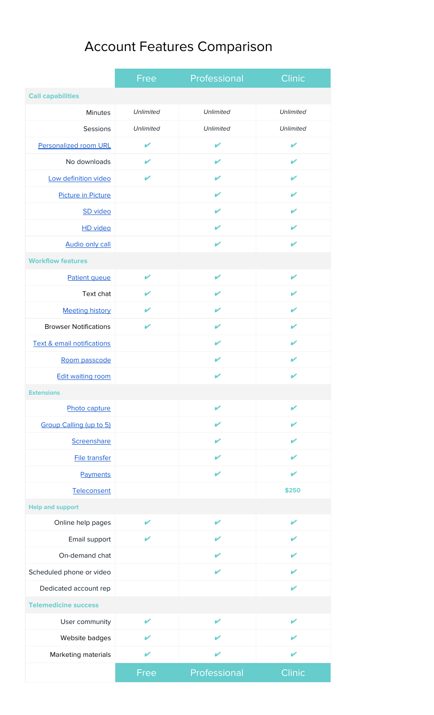## Account Features Comparison

|                                       | Free             | Professional     | Clinic                   |
|---------------------------------------|------------------|------------------|--------------------------|
| <b>Call capabilities</b>              |                  |                  |                          |
| <b>Minutes</b>                        | <b>Unlimited</b> | Unlimited        | Unlimited                |
| Sessions                              | <b>Unlimited</b> | <b>Unlimited</b> | Unlimited                |
| <b>Personalized room URL</b>          | V                | V                | ✔                        |
| No downloads                          | V                | V                | V                        |
| Low definition video                  | V                | V                | V                        |
| <b>Picture in Picture</b>             |                  | V                | V                        |
| SD video                              |                  | V                | V                        |
| <b>HD</b> video                       |                  | V                | ✔                        |
| <b>Audio only call</b>                |                  | $\mathbf{v}$     | V                        |
| <b>Workflow features</b>              |                  |                  |                          |
| Patient queue                         | V                | $\mathbf{v}$     | V                        |
| Text chat                             | V                | V                | V                        |
| <b>Meeting history</b>                | V                | $\mathbf{v}$     | V                        |
| <b>Browser Notifications</b>          | V                | V                | V                        |
| <b>Text &amp; email notifications</b> |                  | V                | $\mathbf{v}$             |
| Room passcode                         |                  | V                | V                        |
| <b>Edit waiting room</b>              |                  | V                | ✔                        |
| <b>Extensions</b>                     |                  |                  |                          |
| Photo capture                         |                  | ✔                | V                        |
| Group Calling (up to 5)               |                  | V                | $\mathbf{z}$             |
| Screenshare                           |                  | V                | v                        |
| <b>File transfer</b>                  |                  | V                | ✔                        |
| Payments                              |                  | V                | V                        |
| Teleconsent                           |                  |                  | \$250                    |
| <b>Help and support</b>               |                  |                  |                          |
| Online help pages                     | V                | V                | V                        |
| Email support                         |                  | ✔                | $\overline{\mathscr{L}}$ |
| On-demand chat                        |                  | V                | ✔                        |
| Scheduled phone or video              |                  | $\mathbf{v}$     | ✔                        |
| Dedicated account rep                 |                  |                  | ✔                        |
| <b>Telemedicine success</b>           |                  |                  |                          |
| User community                        | V                | ✔                | V                        |
| Website badges                        | V                | V                | V                        |
| Marketing materials                   | V                | ✔                | V                        |
|                                       | Free             | Professional     | Clinic                   |